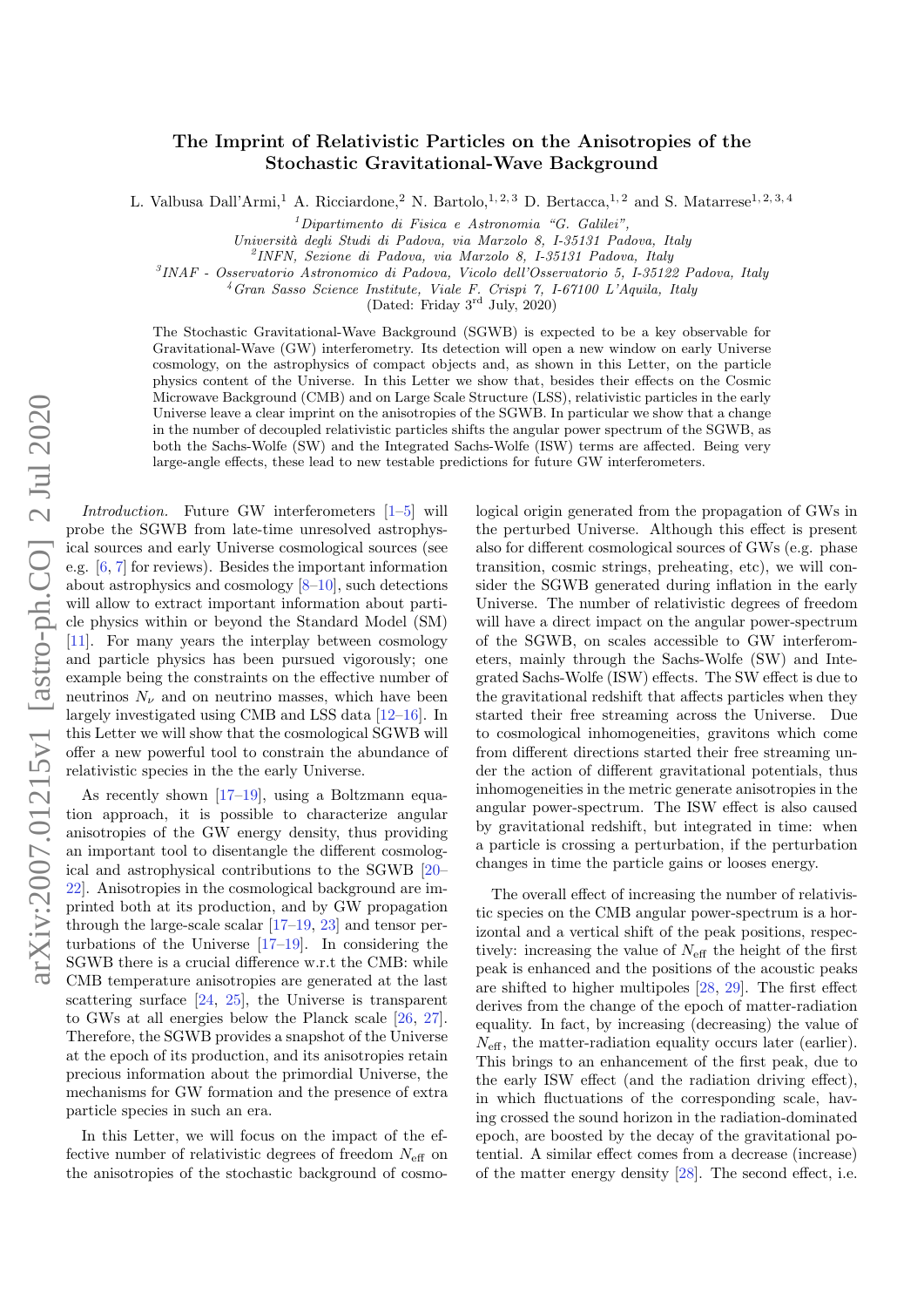## The Imprint of Relativistic Particles on the Anisotropies of the Stochastic Gravitational-Wave Background

L. Valbusa Dall'Armi,<sup>1</sup> A. Ricciardone,<sup>2</sup> N. Bartolo,<sup>1, 2, 3</sup> D. Bertacca,<sup>1, 2</sup> and S. Matarrese<sup>1, 2, 3, 4</sup>

 $1$ Dipartimento di Fisica e Astronomia "G. Galilei",

Universit`a degli Studi di Padova, via Marzolo 8, I-35131 Padova, Italy

2 INFN, Sezione di Padova, via Marzolo 8, I-35131 Padova, Italy

3 INAF - Osservatorio Astronomico di Padova, Vicolo dell'Osservatorio 5, I-35122 Padova, Italy

<sup>4</sup>Gran Sasso Science Institute, Viale F. Crispi 7, I-67100 L'Aquila, Italy

(Dated: Friday 3rd July, 2020)

The Stochastic Gravitational-Wave Background (SGWB) is expected to be a key observable for Gravitational-Wave (GW) interferometry. Its detection will open a new window on early Universe cosmology, on the astrophysics of compact objects and, as shown in this Letter, on the particle physics content of the Universe. In this Letter we show that, besides their effects on the Cosmic Microwave Background (CMB) and on Large Scale Structure (LSS), relativistic particles in the early Universe leave a clear imprint on the anisotropies of the SGWB. In particular we show that a change in the number of decoupled relativistic particles shifts the angular power spectrum of the SGWB, as both the Sachs-Wolfe (SW) and the Integrated Sachs-Wolfe (ISW) terms are affected. Being very large-angle effects, these lead to new testable predictions for future GW interferometers.

Introduction. Future GW interferometers [\[1–](#page-5-0)[5\]](#page-5-1) will probe the SGWB from late-time unresolved astrophysical sources and early Universe cosmological sources (see e.g. [\[6,](#page-5-2) [7\]](#page-5-3) for reviews). Besides the important information about astrophysics and cosmology [\[8–](#page-5-4)[10\]](#page-5-5), such detections will allow to extract important information about particle physics within or beyond the Standard Model (SM) [\[11\]](#page-5-6). For many years the interplay between cosmology and particle physics has been pursued vigorously; one example being the constraints on the effective number of neutrinos  $N_{\nu}$  and on neutrino masses, which have been largely investigated using CMB and LSS data [\[12–](#page-5-7)[16\]](#page-5-8). In this Letter we will show that the cosmological SGWB will offer a new powerful tool to constrain the abundance of relativistic species in the the early Universe.

As recently shown [\[17](#page-5-9)[–19\]](#page-5-10), using a Boltzmann equation approach, it is possible to characterize angular anisotropies of the GW energy density, thus providing an important tool to disentangle the different cosmological and astrophysical contributions to the SGWB [\[20–](#page-5-11) [22\]](#page-5-12). Anisotropies in the cosmological background are imprinted both at its production, and by GW propagation through the large-scale scalar [\[17–](#page-5-9)[19,](#page-5-10) [23\]](#page-5-13) and tensor perturbations of the Universe [\[17](#page-5-9)[–19\]](#page-5-10). In considering the SGWB there is a crucial difference w.r.t the CMB: while CMB temperature anisotropies are generated at the last scattering surface [\[24,](#page-5-14) [25\]](#page-5-15), the Universe is transparent to GWs at all energies below the Planck scale [\[26,](#page-5-16) [27\]](#page-5-17). Therefore, the SGWB provides a snapshot of the Universe at the epoch of its production, and its anisotropies retain precious information about the primordial Universe, the mechanisms for GW formation and the presence of extra particle species in such an era.

In this Letter, we will focus on the impact of the effective number of relativistic degrees of freedom  $N_{\text{eff}}$  on the anisotropies of the stochastic background of cosmological origin generated from the propagation of GWs in the perturbed Universe. Although this effect is present also for different cosmological sources of GWs (e.g. phase transition, cosmic strings, preheating, etc), we will consider the SGWB generated during inflation in the early Universe. The number of relativistic degrees of freedom will have a direct impact on the angular power-spectrum of the SGWB, on scales accessible to GW interferometers, mainly through the Sachs-Wolfe (SW) and Integrated Sachs-Wolfe (ISW) effects. The SW effect is due to the gravitational redshift that affects particles when they started their free streaming across the Universe. Due to cosmological inhomogeneities, gravitons which come from different directions started their free streaming under the action of different gravitational potentials, thus inhomogeneities in the metric generate anisotropies in the angular power-spectrum. The ISW effect is also caused by gravitational redshift, but integrated in time: when a particle is crossing a perturbation, if the perturbation changes in time the particle gains or looses energy.

The overall effect of increasing the number of relativistic species on the CMB angular power-spectrum is a horizontal and a vertical shift of the peak positions, respectively: increasing the value of  $N_{\text{eff}}$  the height of the first peak is enhanced and the positions of the acoustic peaks are shifted to higher multipoles [\[28,](#page-5-18) [29\]](#page-5-19). The first effect derives from the change of the epoch of matter-radiation equality. In fact, by increasing (decreasing) the value of  $N_{\text{eff}}$ , the matter-radiation equality occurs later (earlier). This brings to an enhancement of the first peak, due to the early ISW effect (and the radiation driving effect), in which fluctuations of the corresponding scale, having crossed the sound horizon in the radiation-dominated epoch, are boosted by the decay of the gravitational potential. A similar effect comes from a decrease (increase) of the matter energy density [\[28\]](#page-5-18). The second effect, i.e.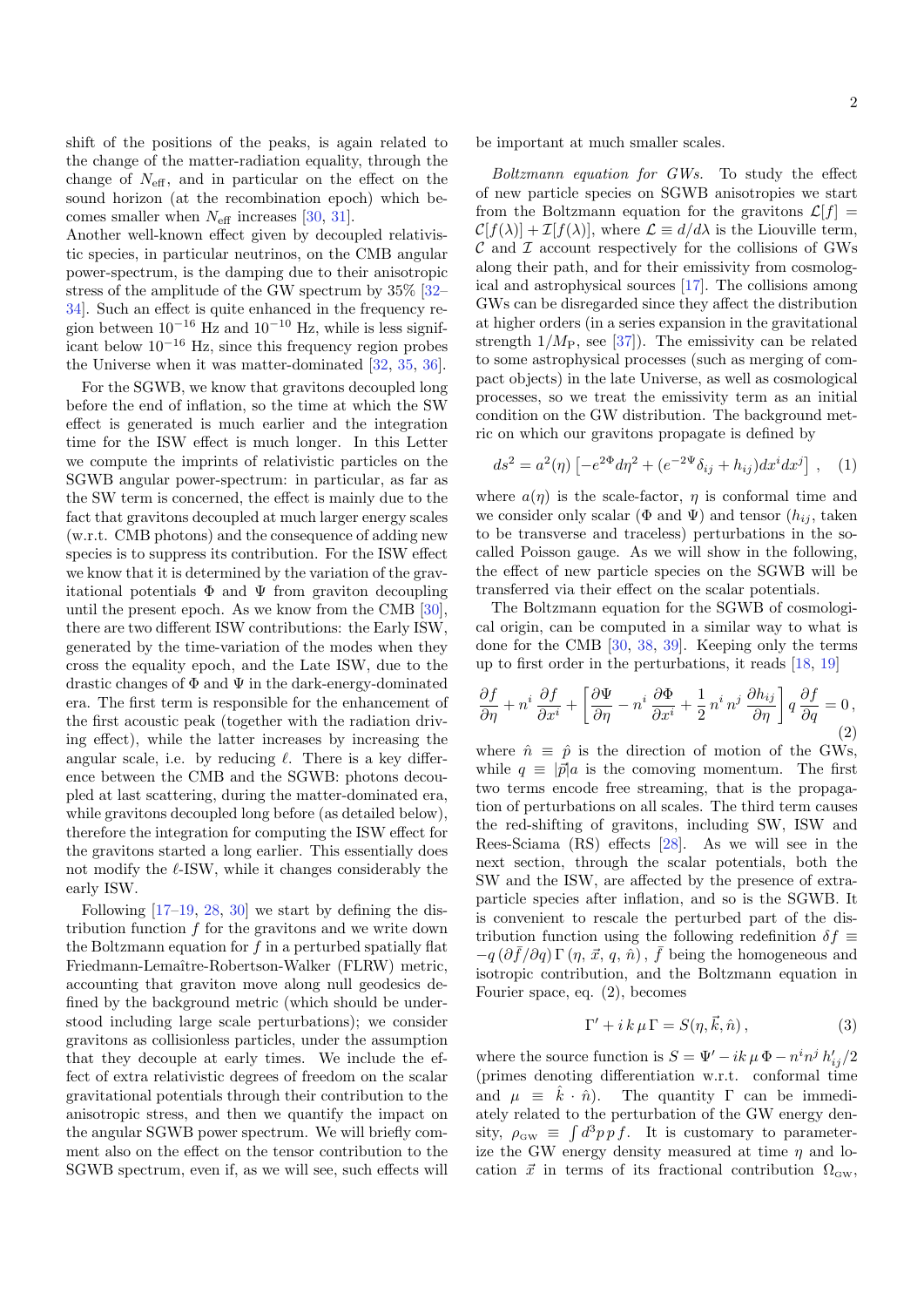shift of the positions of the peaks, is again related to the change of the matter-radiation equality, through the change of  $N_{\text{eff}}$ , and in particular on the effect on the sound horizon (at the recombination epoch) which becomes smaller when  $N_{\text{eff}}$  increases [\[30,](#page-5-20) [31\]](#page-5-21).

Another well-known effect given by decoupled relativistic species, in particular neutrinos, on the CMB angular power-spectrum, is the damping due to their anisotropic stress of the amplitude of the GW spectrum by 35% [\[32–](#page-5-22) [34\]](#page-5-23). Such an effect is quite enhanced in the frequency region between  $10^{-16}$  Hz and  $10^{-10}$  Hz, while is less significant below 10−<sup>16</sup> Hz, since this frequency region probes the Universe when it was matter-dominated [\[32,](#page-5-22) [35,](#page-5-24) [36\]](#page-5-25).

For the SGWB, we know that gravitons decoupled long before the end of inflation, so the time at which the SW effect is generated is much earlier and the integration time for the ISW effect is much longer. In this Letter we compute the imprints of relativistic particles on the SGWB angular power-spectrum: in particular, as far as the SW term is concerned, the effect is mainly due to the fact that gravitons decoupled at much larger energy scales (w.r.t. CMB photons) and the consequence of adding new species is to suppress its contribution. For the ISW effect we know that it is determined by the variation of the gravitational potentials  $\Phi$  and  $\Psi$  from graviton decoupling until the present epoch. As we know from the CMB [\[30\]](#page-5-20), there are two different ISW contributions: the Early ISW, generated by the time-variation of the modes when they cross the equality epoch, and the Late ISW, due to the drastic changes of  $\Phi$  and  $\Psi$  in the dark-energy-dominated era. The first term is responsible for the enhancement of the first acoustic peak (together with the radiation driving effect), while the latter increases by increasing the angular scale, i.e. by reducing  $\ell$ . There is a key difference between the CMB and the SGWB: photons decoupled at last scattering, during the matter-dominated era, while gravitons decoupled long before (as detailed below), therefore the integration for computing the ISW effect for the gravitons started a long earlier. This essentially does not modify the  $\ell$ -ISW, while it changes considerably the early ISW.

Following  $[17-19, 28, 30]$  $[17-19, 28, 30]$  $[17-19, 28, 30]$  $[17-19, 28, 30]$  we start by defining the distribution function f for the gravitons and we write down the Boltzmann equation for  $f$  in a perturbed spatially flat Friedmann-Lemaître-Robertson-Walker (FLRW) metric, accounting that graviton move along null geodesics defined by the background metric (which should be understood including large scale perturbations); we consider gravitons as collisionless particles, under the assumption that they decouple at early times. We include the effect of extra relativistic degrees of freedom on the scalar gravitational potentials through their contribution to the anisotropic stress, and then we quantify the impact on the angular SGWB power spectrum. We will briefly comment also on the effect on the tensor contribution to the SGWB spectrum, even if, as we will see, such effects will

be important at much smaller scales.

Boltzmann equation for GWs. To study the effect of new particle species on SGWB anisotropies we start from the Boltzmann equation for the gravitons  $\mathcal{L}[f] =$  $\mathcal{C}[f(\lambda)] + \mathcal{I}[f(\lambda)],$  where  $\mathcal{L} \equiv d/d\lambda$  is the Liouville term,  $\mathcal C$  and  $\mathcal I$  account respectively for the collisions of GWs along their path, and for their emissivity from cosmological and astrophysical sources [\[17\]](#page-5-9). The collisions among GWs can be disregarded since they affect the distribution at higher orders (in a series expansion in the gravitational strength  $1/M_P$ , see [\[37\]](#page-5-26)). The emissivity can be related to some astrophysical processes (such as merging of compact objects) in the late Universe, as well as cosmological processes, so we treat the emissivity term as an initial condition on the GW distribution. The background metric on which our gravitons propagate is defined by

$$
ds^{2} = a^{2}(\eta) \left[ -e^{2\Phi} d\eta^{2} + (e^{-2\Psi} \delta_{ij} + h_{ij}) dx^{i} dx^{j} \right], \quad (1)
$$

where  $a(\eta)$  is the scale-factor,  $\eta$  is conformal time and we consider only scalar ( $\Phi$  and  $\Psi$ ) and tensor ( $h_{ij}$ , taken to be transverse and traceless) perturbations in the socalled Poisson gauge. As we will show in the following, the effect of new particle species on the SGWB will be transferred via their effect on the scalar potentials.

The Boltzmann equation for the SGWB of cosmological origin, can be computed in a similar way to what is done for the CMB [\[30,](#page-5-20) [38,](#page-5-27) [39\]](#page-5-28). Keeping only the terms up to first order in the perturbations, it reads [\[18,](#page-5-29) [19\]](#page-5-10)

<span id="page-1-0"></span>
$$
\frac{\partial f}{\partial \eta} + n^i \frac{\partial f}{\partial x^i} + \left[ \frac{\partial \Psi}{\partial \eta} - n^i \frac{\partial \Phi}{\partial x^i} + \frac{1}{2} n^i n^j \frac{\partial h_{ij}}{\partial \eta} \right] q \frac{\partial f}{\partial q} = 0,
$$
\n(2)

where  $\hat{n} \equiv \hat{p}$  is the direction of motion of the GWs, while  $q \equiv |\vec{p}|a$  is the comoving momentum. The first two terms encode free streaming, that is the propagation of perturbations on all scales. The third term causes the red-shifting of gravitons, including SW, ISW and Rees-Sciama (RS) effects [\[28\]](#page-5-18). As we will see in the next section, through the scalar potentials, both the SW and the ISW, are affected by the presence of extraparticle species after inflation, and so is the SGWB. It is convenient to rescale the perturbed part of the distribution function using the following redefinition  $\delta f \equiv$  $-q\left(\frac{\partial \bar{f}}{\partial q}\right) \Gamma \left(\eta, \vec{x}, q, \hat{n}\right), \bar{f}$  being the homogeneous and isotropic contribution, and the Boltzmann equation in Fourier space, eq. [\(2\)](#page-1-0), becomes

<span id="page-1-1"></span>
$$
\Gamma' + i k \mu \Gamma = S(\eta, \vec{k}, \hat{n}), \qquad (3)
$$

where the source function is  $S = \Psi' - ik \mu \Phi - n^i n^j h'_{ij}/2$ (primes denoting differentiation w.r.t. conformal time and  $\mu \equiv \hat{k} \cdot \hat{n}$ . The quantity  $\Gamma$  can be immediately related to the perturbation of the GW energy density,  $\rho_{\rm GW} \equiv \int d^3p \, p \, f$ . It is customary to parameterize the GW energy density measured at time  $\eta$  and location  $\vec{x}$  in terms of its fractional contribution  $\Omega_{\rm GW}$ ,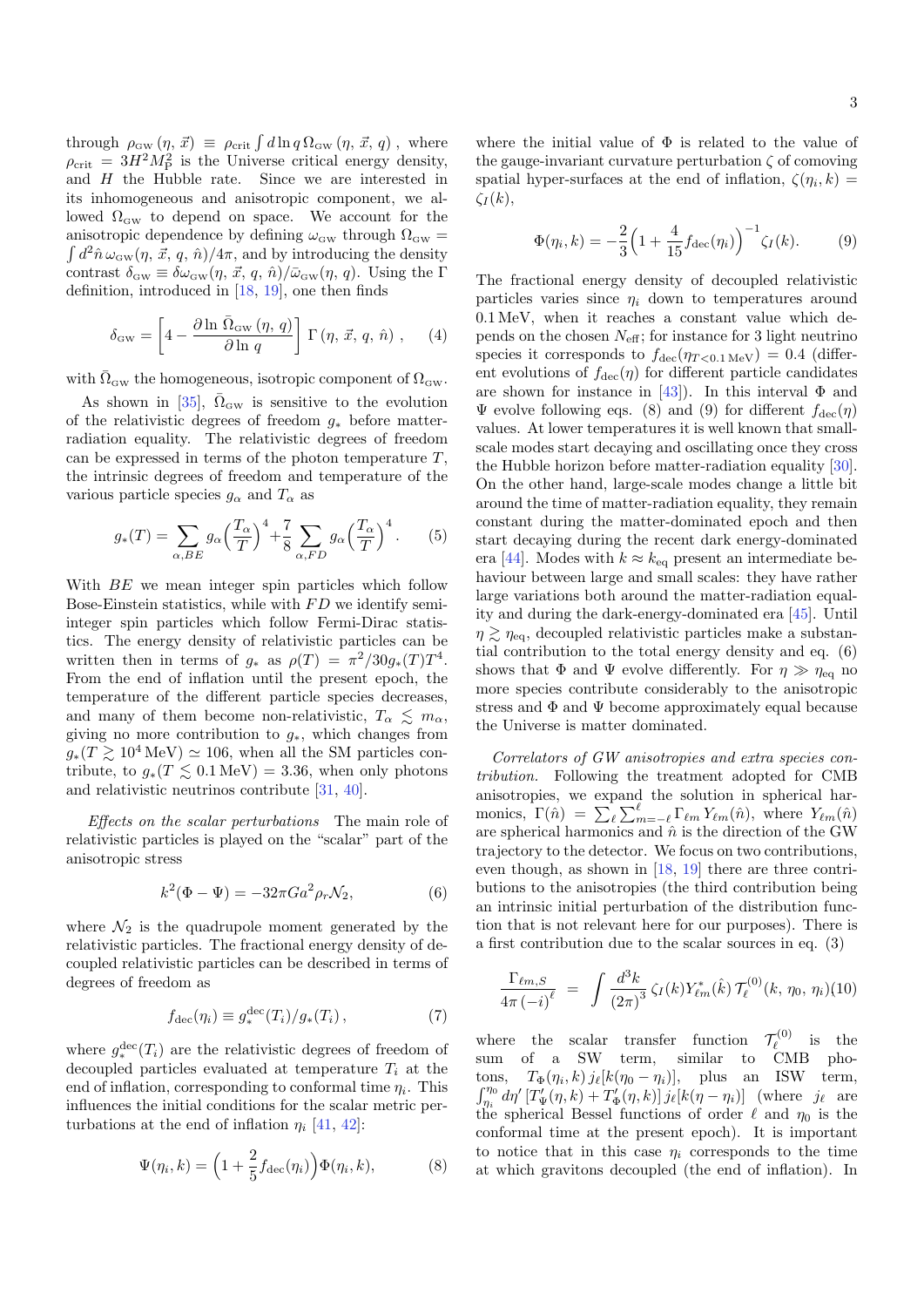through  $\rho_{\rm GW}(\eta, \vec{x}) \equiv \rho_{\rm crit} \int d\ln q \Omega_{\rm GW}(\eta, \vec{x}, q)$ , where  $\rho_{\rm crit} = 3H^2M_{\rm P}^2$  is the Universe critical energy density, and  $H$  the Hubble rate. Since we are interested in its inhomogeneous and anisotropic component, we allowed  $\Omega_{\rm GW}$  to depend on space. We account for the anisotropic dependence by defining  $\omega_{\rm GW}$  through  $\Omega_{\rm GW}$  =  $\int d^2\hat{n}\,\omega_{\rm GW}(\eta, \vec{x}, q, \hat{n})/4\pi$ , and by introducing the density contrast  $\delta_{\rm GW} \equiv \delta \omega_{\rm GW}(\eta, \vec{x}, q, \hat{n})/\bar{\omega}_{\rm GW}(\eta, q)$ . Using the Γ definition, introduced in [\[18,](#page-5-29) [19\]](#page-5-10), one then finds

$$
\delta_{\rm GW} = \left[4 - \frac{\partial \ln \bar{\Omega}_{\rm GW}(\eta, q)}{\partial \ln q}\right] \Gamma(\eta, \vec{x}, q, \hat{n}), \quad (4)
$$

with  $\bar{\Omega}_{\text{GW}}$  the homogeneous, isotropic component of  $\Omega_{\text{GW}}$ .

As shown in [\[35\]](#page-5-24),  $\bar{\Omega}_{\text{GW}}$  is sensitive to the evolution of the relativistic degrees of freedom  $g_*$  before matterradiation equality. The relativistic degrees of freedom can be expressed in terms of the photon temperature  $T$ , the intrinsic degrees of freedom and temperature of the various particle species  $g_{\alpha}$  and  $T_{\alpha}$  as

$$
g_*(T) = \sum_{\alpha, BE} g_\alpha \left(\frac{T_\alpha}{T}\right)^4 + \frac{7}{8} \sum_{\alpha, FD} g_\alpha \left(\frac{T_\alpha}{T}\right)^4. \tag{5}
$$

With  $BE$  we mean integer spin particles which follow Bose-Einstein statistics, while with  $FD$  we identify semiinteger spin particles which follow Fermi-Dirac statistics. The energy density of relativistic particles can be written then in terms of  $g_*$  as  $\rho(T) = \pi^2/30g_*(T)T^4$ . From the end of inflation until the present epoch, the temperature of the different particle species decreases, and many of them become non-relativistic,  $T_{\alpha} \leq m_{\alpha}$ , giving no more contribution to  $g_*$ , which changes from  $g_*(T \gtrsim 10^4 \text{ MeV}) \simeq 106$ , when all the SM particles contribute, to  $g_*(T \leq 0.1 \,\text{MeV}) = 3.36$ , when only photons and relativistic neutrinos contribute [\[31,](#page-5-21) [40\]](#page-5-30).

Effects on the scalar perturbations The main role of relativistic particles is played on the "scalar" part of the anisotropic stress

<span id="page-2-2"></span>
$$
k^2(\Phi - \Psi) = -32\pi G a^2 \rho_r \mathcal{N}_2,\tag{6}
$$

where  $\mathcal{N}_2$  is the quadrupole moment generated by the relativistic particles. The fractional energy density of decoupled relativistic particles can be described in terms of degrees of freedom as

$$
f_{\text{dec}}(\eta_i) \equiv g_*^{\text{dec}}(T_i) / g_*(T_i), \qquad (7)
$$

where  $g_*^{\text{dec}}(T_i)$  are the relativistic degrees of freedom of decoupled particles evaluated at temperature  $T_i$  at the end of inflation, corresponding to conformal time  $\eta_i$ . This influences the initial conditions for the scalar metric perturbations at the end of inflation  $\eta_i$  [\[41,](#page-5-31) [42\]](#page-5-32):

<span id="page-2-0"></span>
$$
\Psi(\eta_i, k) = \left(1 + \frac{2}{5} f_{\text{dec}}(\eta_i)\right) \Phi(\eta_i, k),\tag{8}
$$

where the initial value of  $\Phi$  is related to the value of the gauge-invariant curvature perturbation  $\zeta$  of comoving spatial hyper-surfaces at the end of inflation,  $\zeta(\eta_i, k) =$  $\zeta_I(k),$ 

<span id="page-2-1"></span>
$$
\Phi(\eta_i, k) = -\frac{2}{3} \left( 1 + \frac{4}{15} f_{\text{dec}}(\eta_i) \right)^{-1} \zeta_I(k). \tag{9}
$$

The fractional energy density of decoupled relativistic particles varies since  $\eta_i$  down to temperatures around 0.1 MeV, when it reaches a constant value which depends on the chosen  $N_{\text{eff}}$ ; for instance for 3 light neutrino species it corresponds to  $f_{\text{dec}}(\eta_{T<0.1 \text{ MeV}}) = 0.4$  (different evolutions of  $f_{\text{dec}}(\eta)$  for different particle candidates are shown for instance in [\[43\]](#page-5-33)). In this interval  $\Phi$  and  $\Psi$  evolve following eqs. [\(8\)](#page-2-0) and [\(9\)](#page-2-1) for different  $f_{\text{dec}}(\eta)$ values. At lower temperatures it is well known that smallscale modes start decaying and oscillating once they cross the Hubble horizon before matter-radiation equality [\[30\]](#page-5-20). On the other hand, large-scale modes change a little bit around the time of matter-radiation equality, they remain constant during the matter-dominated epoch and then start decaying during the recent dark energy-dominated era [\[44\]](#page-5-34). Modes with  $k \approx k_{\text{eq}}$  present an intermediate behaviour between large and small scales: they have rather large variations both around the matter-radiation equality and during the dark-energy-dominated era [\[45\]](#page-5-35). Until  $\eta \gtrsim \eta_{\text{eq}}$ , decoupled relativistic particles make a substantial contribution to the total energy density and eq. [\(6\)](#page-2-2) shows that  $\Phi$  and  $\Psi$  evolve differently. For  $\eta \gg \eta_{\text{eq}}$  no more species contribute considerably to the anisotropic stress and  $\Phi$  and  $\Psi$  become approximately equal because the Universe is matter dominated.

Correlators of GW anisotropies and extra species contribution. Following the treatment adopted for CMB anisotropies, we expand the solution in spherical harmonics,  $\Gamma(\hat{n}) = \sum_{\ell} \sum_{m=-\ell}^{\ell} \Gamma_{\ell m} Y_{\ell m}(\hat{n})$ , where  $Y_{\ell m}(\hat{n})$ are spherical harmonics and  $\hat{n}$  is the direction of the GW trajectory to the detector. We focus on two contributions, even though, as shown in [\[18,](#page-5-29) [19\]](#page-5-10) there are three contributions to the anisotropies (the third contribution being an intrinsic initial perturbation of the distribution function that is not relevant here for our purposes). There is a first contribution due to the scalar sources in eq. [\(3\)](#page-1-1)

<span id="page-2-3"></span>
$$
\frac{\Gamma_{\ell m, S}}{4\pi \left(-i\right)^{\ell}} = \int \frac{d^3k}{\left(2\pi\right)^3} \zeta_I(k) Y_{\ell m}^*(\hat{k}) \, \mathcal{T}_{\ell}^{(0)}(k, \, \eta_0, \, \eta_i)(10)
$$

where the scalar transfer function (0)  $\bar{\ell}^{(0)}$  is the sum of a SW term, similar to CMB photons,  $T_{\Phi}(\eta_i, k) j_{\ell}[k(\eta_0 - \eta_i)],$  plus an ISW term,  $\int_{\eta_i}^{\eta_0} d\eta' \left[T'_\Psi(\eta,k) + T'_\Phi(\eta,k)\right] j_\ell[k(\eta-\eta_i)]$  (where  $j_\ell$  are the spherical Bessel functions of order  $\ell$  and  $\eta_0$  is the conformal time at the present epoch). It is important to notice that in this case  $\eta_i$  corresponds to the time at which gravitons decoupled (the end of inflation). In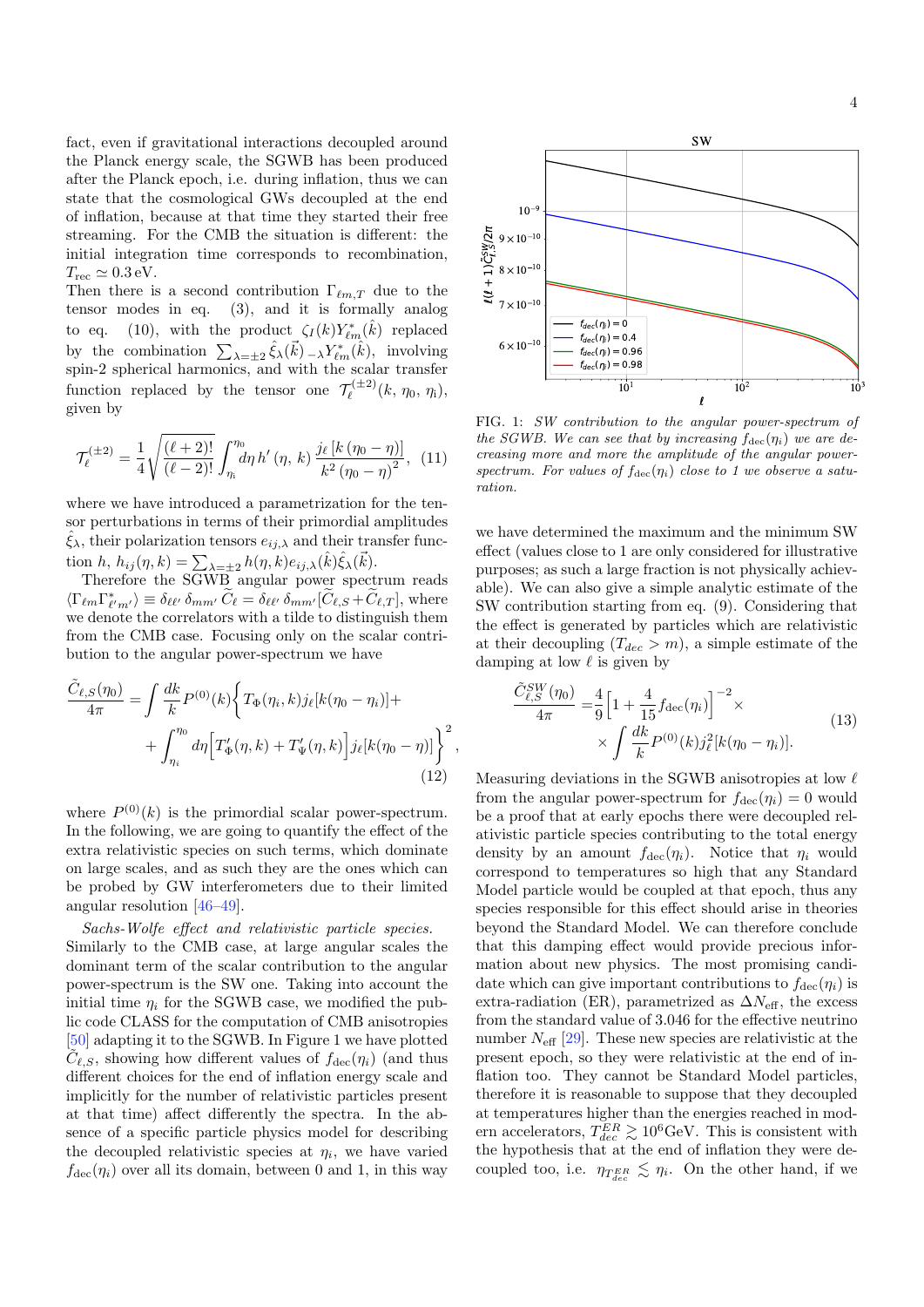fact, even if gravitational interactions decoupled around the Planck energy scale, the SGWB has been produced after the Planck epoch, i.e. during inflation, thus we can state that the cosmological GWs decoupled at the end of inflation, because at that time they started their free streaming. For the CMB the situation is different: the initial integration time corresponds to recombination,  $T_{\rm rec} \simeq 0.3 \,\text{eV}.$ 

Then there is a second contribution  $\Gamma_{\ell m,T}$  due to the tensor modes in eq. [\(3\)](#page-1-1), and it is formally analog to eq. [\(10\)](#page-2-3), with the product  $\zeta_I(k) Y^*_{\ell m}(\hat{k})$  replaced by the combination  $\sum_{\lambda=\pm 2} \hat{\xi}_{\lambda}(\vec{k}) - \lambda Y_{\ell m}^*(\hat{k}),$  involving spin-2 spherical harmonics, and with the scalar transfer function replaced by the tensor one  $\mathcal{T}_{\ell}^{(\pm 2)}$  $\tilde{q}_{\ell}^{(\pm 2)}(k, \eta_0, \eta_1),$ given by

$$
\mathcal{T}_{\ell}^{(\pm 2)} = \frac{1}{4} \sqrt{\frac{(\ell+2)!}{(\ell-2)!}} \int_{\eta_i}^{\eta_0} d\eta \, h' \left(\eta, \, k\right) \frac{j_{\ell} \left[k\left(\eta_0 - \eta\right)\right]}{k^2 \left(\eta_0 - \eta\right)^2}, \tag{11}
$$

where we have introduced a parametrization for the tensor perturbations in terms of their primordial amplitudes  $\hat{\xi}_{\lambda}$ , their polarization tensors  $e_{ij,\lambda}$  and their transfer function  $h, h_{ij}(\eta, k) = \sum_{\lambda = \pm 2} h(\eta, k) e_{ij,\lambda}(\hat{k}) \hat{\xi}_{\lambda}(\vec{k}).$ 

Therefore the SGWB angular power spectrum reads  $\langle \Gamma_{\ell m} \Gamma_{\ell' m'}^* \rangle \equiv \delta_{\ell \ell'} \, \delta_{m m'} \, \widetilde{C}_{\ell} = \delta_{\ell \ell'} \, \delta_{m m'} [\widetilde{C}_{\ell, S} + \widetilde{C}_{\ell, T}],$  where we denote the correlators with a tilde to distinguish them from the CMB case. Focusing only on the scalar contribution to the angular power-spectrum we have

$$
\frac{\tilde{C}_{\ell,S}(\eta_0)}{4\pi} = \int \frac{dk}{k} P^{(0)}(k) \left\{ T_{\Phi}(\eta_i, k) j_{\ell} [k(\eta_0 - \eta_i)] + \right. \\ \left. + \int_{\eta_i}^{\eta_0} d\eta \left[ T_{\Phi}'(\eta, k) + T_{\Psi}'(\eta, k) \right] j_{\ell} [k(\eta_0 - \eta)] \right\}^2, \tag{12}
$$

where  $P^{(0)}(k)$  is the primordial scalar power-spectrum. In the following, we are going to quantify the effect of the extra relativistic species on such terms, which dominate on large scales, and as such they are the ones which can be probed by GW interferometers due to their limited angular resolution [\[46](#page-5-36)[–49\]](#page-6-0).

Sachs-Wolfe effect and relativistic particle species. Similarly to the CMB case, at large angular scales the dominant term of the scalar contribution to the angular power-spectrum is the SW one. Taking into account the initial time  $\eta_i$  for the SGWB case, we modified the public code CLASS for the computation of CMB anisotropies [\[50\]](#page-6-1) adapting it to the SGWB. In Figure [1](#page-3-0) we have plotted  $\widetilde{C}_{\ell,S}$ , showing how different values of  $f_{\text{dec}}(\eta_i)$  (and thus different choices for the end of inflation energy scale and implicitly for the number of relativistic particles present at that time) affect differently the spectra. In the absence of a specific particle physics model for describing the decoupled relativistic species at  $\eta_i$ , we have varied  $f_{\text{dec}}(\eta_i)$  over all its domain, between 0 and 1, in this way



<span id="page-3-0"></span>FIG. 1: SW contribution to the angular power-spectrum of the SGWB. We can see that by increasing  $f_{\text{dec}}(\eta_i)$  we are decreasing more and more the amplitude of the angular powerspectrum. For values of  $f_{\text{dec}}(\eta_i)$  close to 1 we observe a saturation.

we have determined the maximum and the minimum SW effect (values close to 1 are only considered for illustrative purposes; as such a large fraction is not physically achievable). We can also give a simple analytic estimate of the SW contribution starting from eq. [\(9\)](#page-2-1). Considering that the effect is generated by particles which are relativistic at their decoupling  $(T_{dec} > m)$ , a simple estimate of the damping at low  $\ell$  is given by

$$
\frac{\tilde{C}_{\ell,S}^{SW}(\eta_0)}{4\pi} = \frac{4}{9} \left[ 1 + \frac{4}{15} f_{\text{dec}}(\eta_i) \right]^{-2} \times \times \int \frac{dk}{k} P^{(0)}(k) j_{\ell}^2 [k(\eta_0 - \eta_i)]. \tag{13}
$$

Measuring deviations in the SGWB anisotropies at low  $\ell$ from the angular power-spectrum for  $f_{\text{dec}}(\eta_i) = 0$  would be a proof that at early epochs there were decoupled relativistic particle species contributing to the total energy density by an amount  $f_{\text{dec}}(\eta_i)$ . Notice that  $\eta_i$  would correspond to temperatures so high that any Standard Model particle would be coupled at that epoch, thus any species responsible for this effect should arise in theories beyond the Standard Model. We can therefore conclude that this damping effect would provide precious information about new physics. The most promising candidate which can give important contributions to  $f_{\text{dec}}(\eta_i)$  is extra-radiation (ER), parametrized as  $\Delta N_{\text{eff}}$ , the excess from the standard value of 3.046 for the effective neutrino number  $N_{\text{eff}}$  [\[29\]](#page-5-19). These new species are relativistic at the present epoch, so they were relativistic at the end of inflation too. They cannot be Standard Model particles, therefore it is reasonable to suppose that they decoupled at temperatures higher than the energies reached in modern accelerators,  $T_{dec}^{ER} \gtrsim 10^6 \text{GeV}$ . This is consistent with the hypothesis that at the end of inflation they were decoupled too, i.e.  $\eta_{T_{dec}^{ER}} \lesssim \eta_i$ . On the other hand, if we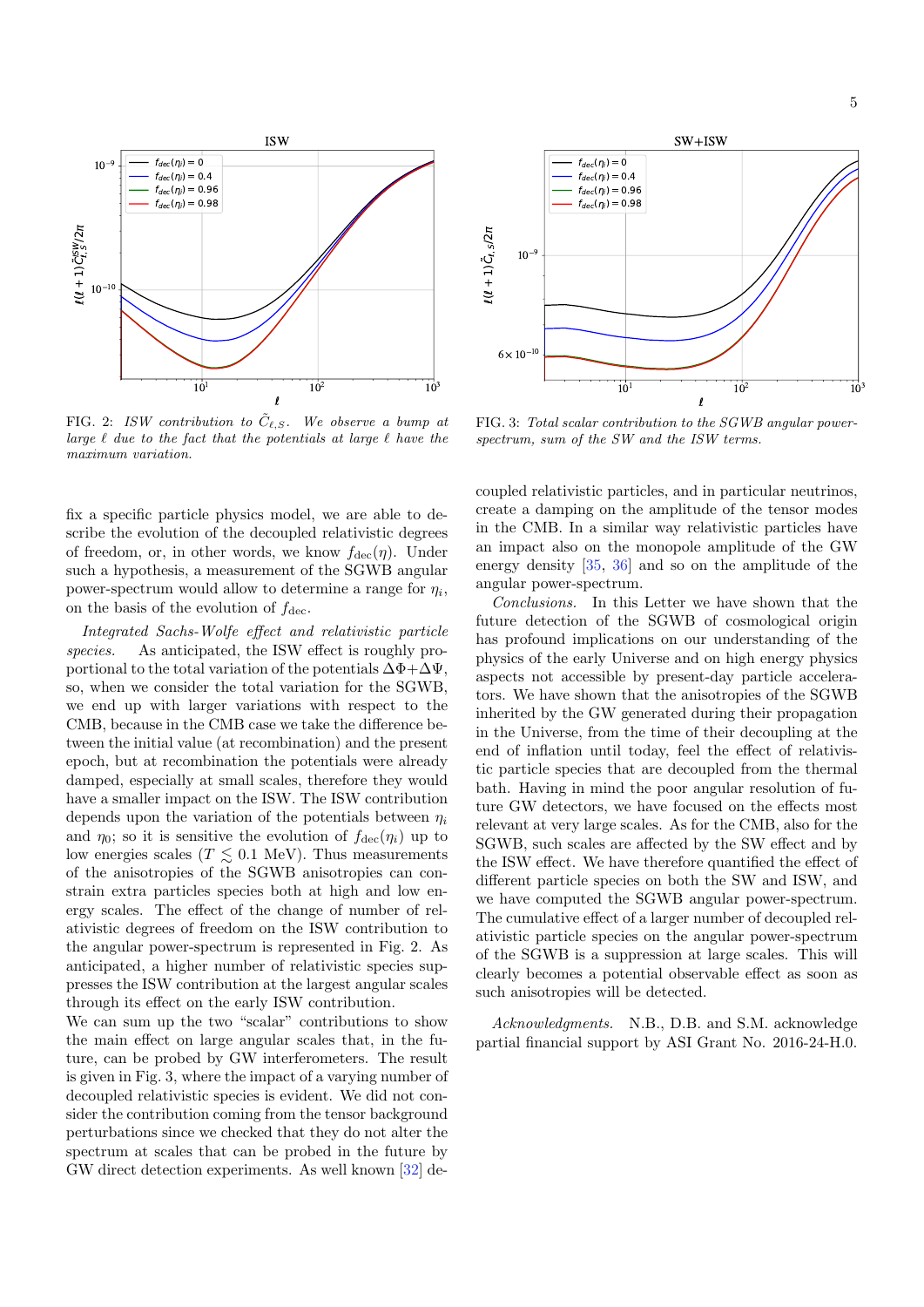

<span id="page-4-0"></span>FIG. 2: ISW contribution to  $\tilde{C}_{\ell,S}$ . We observe a bump at large  $\ell$  due to the fact that the potentials at large  $\ell$  have the maximum variation.

fix a specific particle physics model, we are able to describe the evolution of the decoupled relativistic degrees of freedom, or, in other words, we know  $f_{\text{dec}}(\eta)$ . Under such a hypothesis, a measurement of the SGWB angular power-spectrum would allow to determine a range for  $\eta_i$ , on the basis of the evolution of  $f_{\text{dec}}$ .

Integrated Sachs-Wolfe effect and relativistic particle species. As anticipated, the ISW effect is roughly proportional to the total variation of the potentials  $\Delta \Phi + \Delta \Psi$ , so, when we consider the total variation for the SGWB, we end up with larger variations with respect to the CMB, because in the CMB case we take the difference between the initial value (at recombination) and the present epoch, but at recombination the potentials were already damped, especially at small scales, therefore they would have a smaller impact on the ISW. The ISW contribution depends upon the variation of the potentials between  $\eta_i$ and  $\eta_0$ ; so it is sensitive the evolution of  $f_{\text{dec}}(\eta_i)$  up to low energies scales ( $T \lesssim 0.1$  MeV). Thus measurements of the anisotropies of the SGWB anisotropies can constrain extra particles species both at high and low energy scales. The effect of the change of number of relativistic degrees of freedom on the ISW contribution to the angular power-spectrum is represented in Fig. [2.](#page-4-0) As anticipated, a higher number of relativistic species suppresses the ISW contribution at the largest angular scales through its effect on the early ISW contribution.

We can sum up the two "scalar" contributions to show the main effect on large angular scales that, in the future, can be probed by GW interferometers. The result is given in Fig. [3,](#page-4-1) where the impact of a varying number of decoupled relativistic species is evident. We did not consider the contribution coming from the tensor background perturbations since we checked that they do not alter the spectrum at scales that can be probed in the future by GW direct detection experiments. As well known [\[32\]](#page-5-22) de-



<span id="page-4-1"></span>FIG. 3: Total scalar contribution to the SGWB angular powerspectrum, sum of the SW and the ISW terms.

coupled relativistic particles, and in particular neutrinos, create a damping on the amplitude of the tensor modes in the CMB. In a similar way relativistic particles have an impact also on the monopole amplitude of the GW energy density [\[35,](#page-5-24) [36\]](#page-5-25) and so on the amplitude of the angular power-spectrum.

Conclusions. In this Letter we have shown that the future detection of the SGWB of cosmological origin has profound implications on our understanding of the physics of the early Universe and on high energy physics aspects not accessible by present-day particle accelerators. We have shown that the anisotropies of the SGWB inherited by the GW generated during their propagation in the Universe, from the time of their decoupling at the end of inflation until today, feel the effect of relativistic particle species that are decoupled from the thermal bath. Having in mind the poor angular resolution of future GW detectors, we have focused on the effects most relevant at very large scales. As for the CMB, also for the SGWB, such scales are affected by the SW effect and by the ISW effect. We have therefore quantified the effect of different particle species on both the SW and ISW, and we have computed the SGWB angular power-spectrum. The cumulative effect of a larger number of decoupled relativistic particle species on the angular power-spectrum of the SGWB is a suppression at large scales. This will clearly becomes a potential observable effect as soon as such anisotropies will be detected.

Acknowledgments. N.B., D.B. and S.M. acknowledge partial financial support by ASI Grant No. 2016-24-H.0.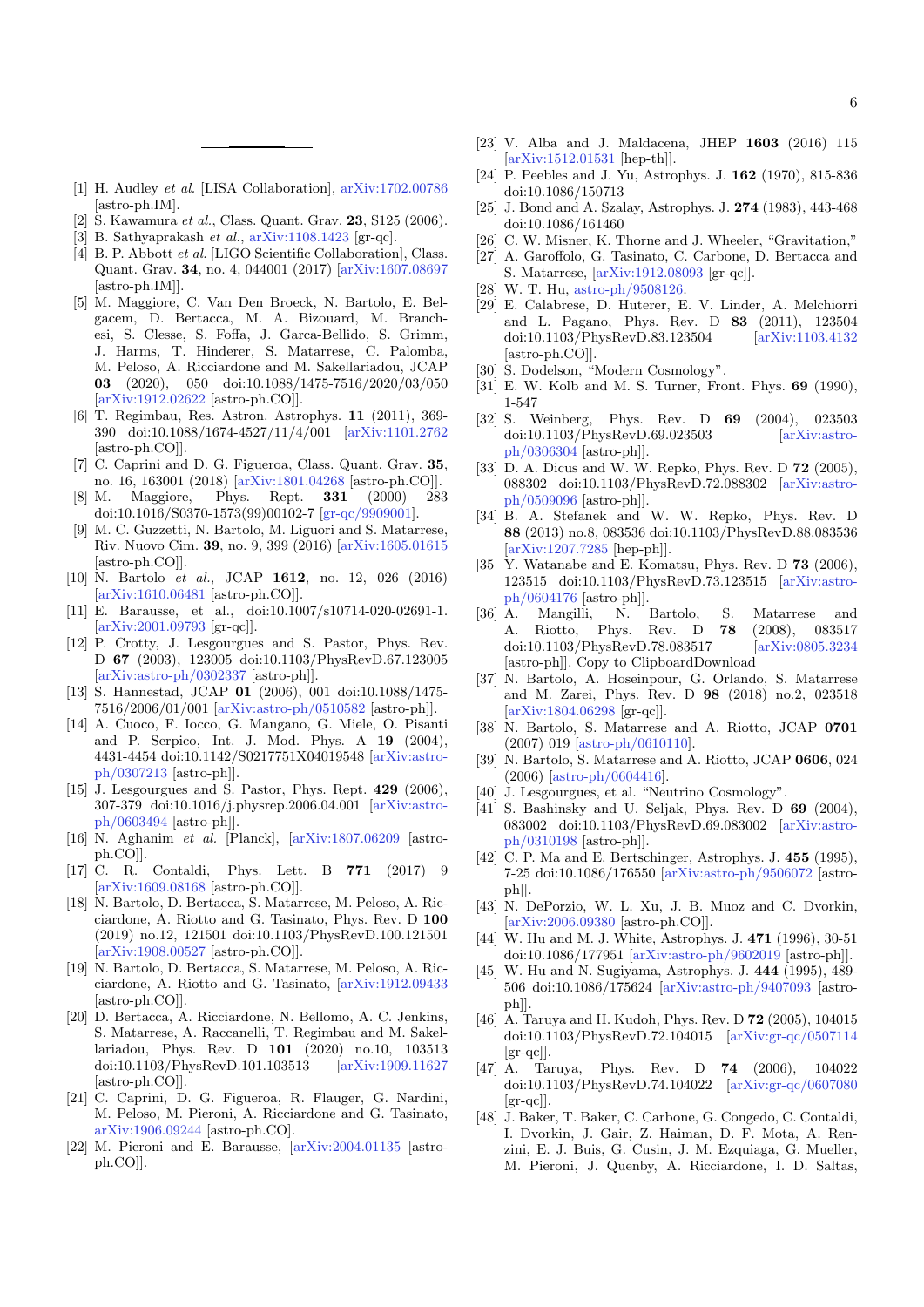- <span id="page-5-0"></span>[1] H. Audley et al. [LISA Collaboration], [arXiv:1702.00786](http://arxiv.org/abs/1702.00786) [astro-ph.IM].
- [2] S. Kawamura et al., Class. Quant. Grav. 23, S125 (2006).
- [3] B. Sathyaprakash et al., [arXiv:1108.1423](http://arxiv.org/abs/1108.1423) [gr-qc].
- [4] B. P. Abbott et al. [LIGO Scientific Collaboration], Class. Quant. Grav. 34, no. 4, 044001 (2017) [\[arXiv:1607.08697](http://arxiv.org/abs/1607.08697) [astro-ph.IM]].
- <span id="page-5-1"></span>[5] M. Maggiore, C. Van Den Broeck, N. Bartolo, E. Belgacem, D. Bertacca, M. A. Bizouard, M. Branchesi, S. Clesse, S. Foffa, J. Garca-Bellido, S. Grimm, J. Harms, T. Hinderer, S. Matarrese, C. Palomba, M. Peloso, A. Ricciardone and M. Sakellariadou, JCAP 03 (2020), 050 doi:10.1088/1475-7516/2020/03/050 [\[arXiv:1912.02622](http://arxiv.org/abs/1912.02622) [astro-ph.CO]].
- <span id="page-5-2"></span>[6] T. Regimbau, Res. Astron. Astrophys. 11 (2011), 369- 390 doi:10.1088/1674-4527/11/4/001 [\[arXiv:1101.2762](http://arxiv.org/abs/1101.2762) [astro-ph.CO]].
- <span id="page-5-3"></span>[7] C. Caprini and D. G. Figueroa, Class. Quant. Grav. 35, no. 16, 163001 (2018) [\[arXiv:1801.04268](http://arxiv.org/abs/1801.04268) [astro-ph.CO]].
- <span id="page-5-4"></span>[8] M. Maggiore, Phys. Rept. 331 (2000) 283 doi:10.1016/S0370-1573(99)00102-7 [\[gr-qc/9909001\]](http://arxiv.org/abs/gr-qc/9909001).
- [9] M. C. Guzzetti, N. Bartolo, M. Liguori and S. Matarrese, Riv. Nuovo Cim. 39, no. 9, 399 (2016) [\[arXiv:1605.01615](http://arxiv.org/abs/1605.01615) [astro-ph.CO]].
- <span id="page-5-5"></span>[10] N. Bartolo et al., JCAP 1612, no. 12, 026 (2016) [\[arXiv:1610.06481](http://arxiv.org/abs/1610.06481) [astro-ph.CO]].
- <span id="page-5-6"></span>[11] E. Barausse, et al., doi:10.1007/s10714-020-02691-1. [\[arXiv:2001.09793](http://arxiv.org/abs/2001.09793) [gr-qc]].
- <span id="page-5-7"></span>[12] P. Crotty, J. Lesgourgues and S. Pastor, Phys. Rev. D 67 (2003), 123005 doi:10.1103/PhysRevD.67.123005 [\[arXiv:astro-ph/0302337](http://arxiv.org/abs/astro-ph/0302337) [astro-ph]].
- [13] S. Hannestad, JCAP 01 (2006), 001 doi:10.1088/1475-7516/2006/01/001 [\[arXiv:astro-ph/0510582](http://arxiv.org/abs/astro-ph/0510582) [astro-ph]].
- [14] A. Cuoco, F. Iocco, G. Mangano, G. Miele, O. Pisanti and P. Serpico, Int. J. Mod. Phys. A 19 (2004), 4431-4454 doi:10.1142/S0217751X04019548 [\[arXiv:astro](http://arxiv.org/abs/astro-ph/0307213)[ph/0307213](http://arxiv.org/abs/astro-ph/0307213) [astro-ph]].
- [15] J. Lesgourgues and S. Pastor, Phys. Rept. 429 (2006), 307-379 doi:10.1016/j.physrep.2006.04.001 [\[arXiv:astro](http://arxiv.org/abs/astro-ph/0603494)[ph/0603494](http://arxiv.org/abs/astro-ph/0603494) [astro-ph]].
- <span id="page-5-8"></span>[16] N. Aghanim et al. [Planck], [\[arXiv:1807.06209](http://arxiv.org/abs/1807.06209) [astroph.CO]].
- <span id="page-5-9"></span>[17] C. R. Contaldi, Phys. Lett. B 771 (2017) 9 [\[arXiv:1609.08168](http://arxiv.org/abs/1609.08168) [astro-ph.CO]].
- <span id="page-5-29"></span>[18] N. Bartolo, D. Bertacca, S. Matarrese, M. Peloso, A. Ricciardone, A. Riotto and G. Tasinato, Phys. Rev. D 100 (2019) no.12, 121501 doi:10.1103/PhysRevD.100.121501 [\[arXiv:1908.00527](http://arxiv.org/abs/1908.00527) [astro-ph.CO]].
- <span id="page-5-10"></span>[19] N. Bartolo, D. Bertacca, S. Matarrese, M. Peloso, A. Ricciardone, A. Riotto and G. Tasinato, [\[arXiv:1912.09433](http://arxiv.org/abs/1912.09433) [astro-ph.CO]].
- <span id="page-5-11"></span>[20] D. Bertacca, A. Ricciardone, N. Bellomo, A. C. Jenkins, S. Matarrese, A. Raccanelli, T. Regimbau and M. Sakellariadou, Phys. Rev. D 101 (2020) no.10, 103513 doi:10.1103/PhysRevD.101.103513 [\[arXiv:1909.11627](http://arxiv.org/abs/1909.11627) [astro-ph.CO]].
- [21] C. Caprini, D. G. Figueroa, R. Flauger, G. Nardini, M. Peloso, M. Pieroni, A. Ricciardone and G. Tasinato, [arXiv:1906.09244](http://arxiv.org/abs/1906.09244) [astro-ph.CO].
- <span id="page-5-12"></span>[22] M. Pieroni and E. Barausse, [\[arXiv:2004.01135](http://arxiv.org/abs/2004.01135) [astroph.CO]].
- <span id="page-5-13"></span>[23] V. Alba and J. Maldacena, JHEP 1603 (2016) 115 [\[arXiv:1512.01531](http://arxiv.org/abs/1512.01531) [hep-th]].
- <span id="page-5-14"></span>[24] P. Peebles and J. Yu, Astrophys. J. 162 (1970), 815-836 doi:10.1086/150713
- <span id="page-5-15"></span>[25] J. Bond and A. Szalay, Astrophys. J. 274 (1983), 443-468 doi:10.1086/161460
- <span id="page-5-16"></span>[26] C. W. Misner, K. Thorne and J. Wheeler, "Gravitation,"
- <span id="page-5-17"></span>[27] A. Garoffolo, G. Tasinato, C. Carbone, D. Bertacca and S. Matarrese, [\[arXiv:1912.08093](http://arxiv.org/abs/1912.08093) [gr-qc]].
- <span id="page-5-18"></span>[28] W. T. Hu, [astro-ph/9508126.](http://arxiv.org/abs/astro-ph/9508126)
- <span id="page-5-19"></span>[29] E. Calabrese, D. Huterer, E. V. Linder, A. Melchiorri and L. Pagano, Phys. Rev. D 83 (2011), 123504 doi:10.1103/PhysRevD.83.123504 [\[arXiv:1103.4132](http://arxiv.org/abs/1103.4132) [astro-ph.CO]].
- <span id="page-5-20"></span>[30] S. Dodelson, "Modern Cosmology".
- <span id="page-5-21"></span>[31] E. W. Kolb and M. S. Turner, Front. Phys. **69** (1990), 1-547
- <span id="page-5-22"></span>[32] S. Weinberg, Phys. Rev. D **69** (2004), 023503 doi:10.1103/PhysRevD.69.023503 [\[arXiv:astro](http://arxiv.org/abs/astro-ph/0306304)[ph/0306304](http://arxiv.org/abs/astro-ph/0306304) [astro-ph]].
- [33] D. A. Dicus and W. W. Repko, Phys. Rev. D 72 (2005), 088302 doi:10.1103/PhysRevD.72.088302 [\[arXiv:astro](http://arxiv.org/abs/astro-ph/0509096)[ph/0509096](http://arxiv.org/abs/astro-ph/0509096) [astro-ph]].
- <span id="page-5-23"></span>[34] B. A. Stefanek and W. W. Repko, Phys. Rev. D 88 (2013) no.8, 083536 doi:10.1103/PhysRevD.88.083536 [\[arXiv:1207.7285](http://arxiv.org/abs/1207.7285) [hep-ph]].
- <span id="page-5-24"></span>[35] Y. Watanabe and E. Komatsu, Phys. Rev. D **73** (2006), 123515 doi:10.1103/PhysRevD.73.123515 [\[arXiv:astro](http://arxiv.org/abs/astro-ph/0604176)[ph/0604176](http://arxiv.org/abs/astro-ph/0604176) [astro-ph]].
- <span id="page-5-25"></span>[36] A. Mangilli, N. Bartolo, S. Matarrese and A. Riotto, Phys. Rev. D **78** (2008), 083517<br>doi:10.1103/PhysRevD.78.083517 [arXiv:0805.3234 doi:10.1103/PhysRevD.78.083517 [astro-ph]]. Copy to ClipboardDownload
- <span id="page-5-26"></span>[37] N. Bartolo, A. Hoseinpour, G. Orlando, S. Matarrese and M. Zarei, Phys. Rev. D 98 (2018) no.2, 023518 [\[arXiv:1804.06298](http://arxiv.org/abs/1804.06298) [gr-qc]].
- <span id="page-5-27"></span>[38] N. Bartolo, S. Matarrese and A. Riotto, JCAP 0701 (2007) 019 [\[astro-ph/0610110\]](http://arxiv.org/abs/astro-ph/0610110).
- <span id="page-5-28"></span>[39] N. Bartolo, S. Matarrese and A. Riotto, JCAP 0606, 024 (2006) [\[astro-ph/0604416\]](http://arxiv.org/abs/astro-ph/0604416).
- <span id="page-5-30"></span>[40] J. Lesgourgues, et al. "Neutrino Cosmology".
- <span id="page-5-31"></span>[41] S. Bashinsky and U. Seljak, Phys. Rev. D 69 (2004), 083002 doi:10.1103/PhysRevD.69.083002 [\[arXiv:astro](http://arxiv.org/abs/astro-ph/0310198)[ph/0310198](http://arxiv.org/abs/astro-ph/0310198) [astro-ph]].
- <span id="page-5-32"></span>[42] C. P. Ma and E. Bertschinger, Astrophys. J. **455** (1995), 7-25 doi:10.1086/176550 [\[arXiv:astro-ph/9506072](http://arxiv.org/abs/astro-ph/9506072) [astroph]].
- <span id="page-5-33"></span>[43] N. DePorzio, W. L. Xu, J. B. Muoz and C. Dvorkin, [\[arXiv:2006.09380](http://arxiv.org/abs/2006.09380) [astro-ph.CO]].
- <span id="page-5-34"></span>[44] W. Hu and M. J. White, Astrophys. J. **471** (1996), 30-51 doi:10.1086/177951 [\[arXiv:astro-ph/9602019](http://arxiv.org/abs/astro-ph/9602019) [astro-ph]].
- <span id="page-5-35"></span>[45] W. Hu and N. Sugiyama, Astrophys. J. 444 (1995), 489- 506 doi:10.1086/175624 [\[arXiv:astro-ph/9407093](http://arxiv.org/abs/astro-ph/9407093) [astroph]].
- <span id="page-5-36"></span>[46] A. Taruya and H. Kudoh, Phys. Rev. D 72 (2005), 104015 doi:10.1103/PhysRevD.72.104015 [\[arXiv:gr-qc/0507114](http://arxiv.org/abs/gr-qc/0507114)  $\left[\text{gr-qc}\right]$ .
- [47] A. Taruya, Phys. Rev. D 74 (2006), 104022 doi:10.1103/PhysRevD.74.104022 [\[arXiv:gr-qc/0607080](http://arxiv.org/abs/gr-qc/0607080)  $\left[\text{gr-qc}\right]$ .
- [48] J. Baker, T. Baker, C. Carbone, G. Congedo, C. Contaldi, I. Dvorkin, J. Gair, Z. Haiman, D. F. Mota, A. Renzini, E. J. Buis, G. Cusin, J. M. Ezquiaga, G. Mueller, M. Pieroni, J. Quenby, A. Ricciardone, I. D. Saltas,